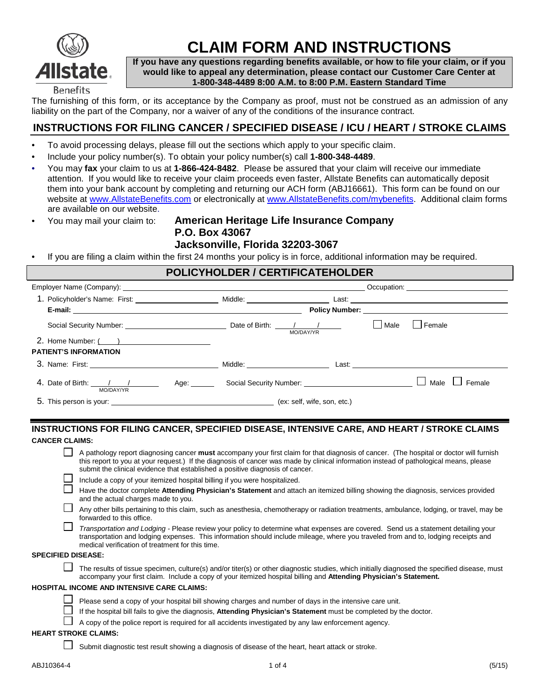

# **CLAIM FORM AND INSTRUCTIONS**

**If you have any questions regarding benefits available, or how to file your claim, or if you would like to appeal any determination, please contact our Customer Care Center at 1-800-348-4489 8:00 A.M. to 8:00 P.M. Eastern Standard Time**

The furnishing of this form, or its acceptance by the Company as proof, must not be construed as an admission of any liability on the part of the Company, nor a waiver of any of the conditions of the insurance contract.

# **INSTRUCTIONS FOR FILING CANCER / SPECIFIED DISEASE / ICU / HEART / STROKE CLAIMS**

- To avoid processing delays, please fill out the sections which apply to your specific claim.
- Include your policy number(s). To obtain your policy number(s) call **1-800-348-4489**.
- You may **fax** your claim to us at **1-866-424-8482**. Please be assured that your claim will receive our immediate attention. If you would like to receive your claim proceeds even faster, Allstate Benefits can automatically deposit them into your bank account by completing and returning our ACH form (ABJ16661). This form can be found on our website at [www.AllstateBenefits.com](http://www.allstatebenefits.com/) or electronically at [www.AllstateBenefits.com/mybenefits.](http://www.allstatebenefits.com/mybenefits) Additional claim forms are available on our website.
- 

## • You may mail your claim to: **American Heritage Life Insurance Company P.O. Box 43067 Jacksonville, Florida 32203-3067**

• If you are filing a claim within the first 24 months your policy is in force, additional information may be required.

| <b>POLICYHOLDER / CERTIFICATEHOLDER</b>                                           |  |           |      |                                                                                                                                                                                                                                      |  |  |
|-----------------------------------------------------------------------------------|--|-----------|------|--------------------------------------------------------------------------------------------------------------------------------------------------------------------------------------------------------------------------------------|--|--|
|                                                                                   |  |           |      | Occupation: <u>contract and contract and contract and contract and contract and contract and contract and contract and contract and contract and contract and contract and contract and contract and contract and contract and c</u> |  |  |
|                                                                                   |  |           |      |                                                                                                                                                                                                                                      |  |  |
|                                                                                   |  |           |      |                                                                                                                                                                                                                                      |  |  |
|                                                                                   |  | MO/DAY/YR | Male | <b>I</b> Female                                                                                                                                                                                                                      |  |  |
|                                                                                   |  |           |      |                                                                                                                                                                                                                                      |  |  |
| <b>PATIENT'S INFORMATION</b>                                                      |  |           |      |                                                                                                                                                                                                                                      |  |  |
|                                                                                   |  |           |      |                                                                                                                                                                                                                                      |  |  |
| 4. Date of Birth: 1 1 1 Age: Social Security Number: 1 2020 19: 2020<br>MO/DAY/YR |  |           |      | Female<br>Male                                                                                                                                                                                                                       |  |  |
|                                                                                   |  |           |      |                                                                                                                                                                                                                                      |  |  |

### **INSTRUCTIONS FOR FILING CANCER, SPECIFIED DISEASE, INTENSIVE CARE, AND HEART / STROKE CLAIMS CANCER CLAIMS:**

| A pathology report diagnosing cancer must accompany your first claim for that diagnosis of cancer. (The hospital or doctor will furnish |
|-----------------------------------------------------------------------------------------------------------------------------------------|
| this report to you at your request.) If the diagnosis of cancer was made by clinical information instead of pathological means, please  |
| submit the clinical evidence that established a positive diagnosis of cancer.                                                           |

| Include a copy of your itemized hospital billing if you were hospitalized. |  |  |
|----------------------------------------------------------------------------|--|--|
|                                                                            |  |  |

- Have the doctor complete **Attending Physician's Statement** and attach an itemized billing showing the diagnosis, services provided and the actual charges made to you.
- $\Box$ Any other bills pertaining to this claim, such as anesthesia, chemotherapy or radiation treatments, ambulance, lodging, or travel, may be forwarded to this office.
- *Transportation and Lodging -* Please review your policy to determine what expenses are covered. Send us a statement detailing your transportation and lodging expenses. This information should include mileage, where you traveled from and to, lodging receipts and medical verification of treatment for this time.

#### **SPECIFIED DISEASE:**

Г

 $\Box$  The results of tissue specimen, culture(s) and/or titer(s) or other diagnostic studies, which initially diagnosed the specified disease, must accompany your first claim. Include a copy of your itemized hospital billing and **Attending Physician's Statement.**

#### **HOSPITAL INCOME AND INTENSIVE CARE CLAIMS:**



If the hospital bill fails to give the diagnosis, **Attending Physician's Statement** must be completed by the doctor.

 $\Box$  A copy of the police report is required for all accidents investigated by any law enforcement agency.

#### **HEART STROKE CLAIMS:**

 $\Box$  Submit diagnostic test result showing a diagnosis of disease of the heart, heart attack or stroke.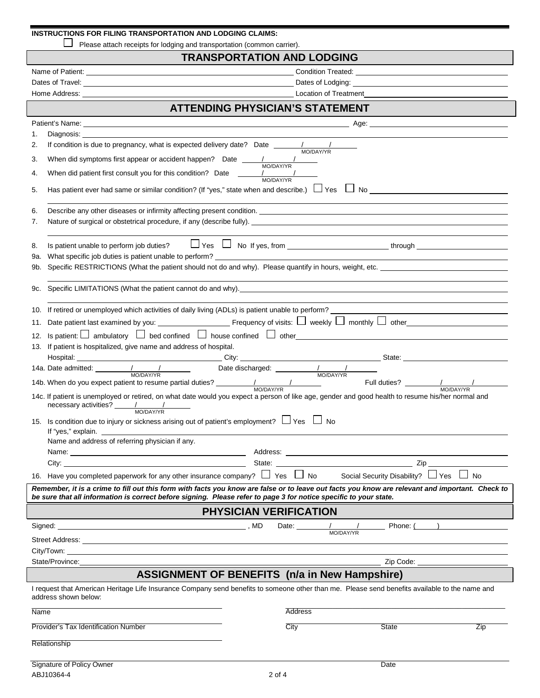| INSTRUCTIONS FOR FILING TRANSPORTATION AND LODGING CLAIMS: |  |
|------------------------------------------------------------|--|
|                                                            |  |

Please attach receipts for lodging and transportation (common carrier).

# **TRANSPORTATION AND LODGING**

|            | <b>ATTENDING PHYSICIAN'S STATEMENT</b>                                                                                                                                                                                                                                                                                                                                                                                                                                 |
|------------|------------------------------------------------------------------------------------------------------------------------------------------------------------------------------------------------------------------------------------------------------------------------------------------------------------------------------------------------------------------------------------------------------------------------------------------------------------------------|
|            |                                                                                                                                                                                                                                                                                                                                                                                                                                                                        |
| 1.<br>2.   |                                                                                                                                                                                                                                                                                                                                                                                                                                                                        |
| 3.         | If condition is due to pregnancy, what is expected delivery date? Date $\frac{1}{\text{MODAY/TR}}$<br>When did symptoms first appear or accident happen? Date $\frac{1}{\text{MO}/\text{DA}Y/\text{YR}}$                                                                                                                                                                                                                                                               |
| 4.         | When did patient first consult you for this condition? Date $\frac{1}{\text{MO}(\text{DA}Y/\text{NR})}$                                                                                                                                                                                                                                                                                                                                                                |
| 5.         |                                                                                                                                                                                                                                                                                                                                                                                                                                                                        |
| 6.         |                                                                                                                                                                                                                                                                                                                                                                                                                                                                        |
| 7.         | Nature of surgical or obstetrical procedure, if any (describe fully). Nature and the control of surgical or obstetrical procedure, if any (describe fully).                                                                                                                                                                                                                                                                                                            |
| 8.         | Is patient unable to perform job duties? $\Box$ Yes $\Box$ No If yes, from $\Box$ $\Box$ $\Box$ $\Box$ through $\Box$<br>What specific job duties is patient unable to perform?                                                                                                                                                                                                                                                                                        |
| 9a.<br>9b. | Specific RESTRICTIONS (What the patient should not do and why). Please quantify in hours, weight, etc.                                                                                                                                                                                                                                                                                                                                                                 |
|            |                                                                                                                                                                                                                                                                                                                                                                                                                                                                        |
|            | 9c. Specific LIMITATIONS (What the patient cannot do and why). The material control of the state of the state of the state of the state of the state of the state of the state of the state of the state of the state of the s                                                                                                                                                                                                                                         |
|            | 10. If retired or unemployed which activities of daily living (ADLs) is patient unable to perform?                                                                                                                                                                                                                                                                                                                                                                     |
|            |                                                                                                                                                                                                                                                                                                                                                                                                                                                                        |
|            | Is patient: $\Box$ ambulatory $\Box$ bed confined $\Box$ house confined $\Box$ other                                                                                                                                                                                                                                                                                                                                                                                   |
| 13.        | If patient is hospitalized, give name and address of hospital.<br>Hospital: State: State: State: State: State: State: State: State: State: State: State: State: State: State: State: State: State: State: State: State: State: State: State: State: State: State: State: State: State: State: St                                                                                                                                                                       |
|            | 14a. Date admitted: <u>Anti-American Model Charles Charles Charles Charles Charles Charles Charles Charles Charles Charles Charles Charles Charles Charles Charles Charles Charles Charles Charles Charles Charles Charles Charl</u><br>MO/DAY/YR MO/DAY/YR MO/DAY/YR MO/DAY/YR HAD. When do you expect patient to resume partial duties? MO/DAY/YR HAD. When do you expect patient to resume partial duties? MO/DAY/YR HAD. When do you expect patient to resume part |
|            | 14c. If patient is unemployed or retired, on what date would you expect a person of like age, gender and good health to resume his/her normal and                                                                                                                                                                                                                                                                                                                      |
|            | 15. Is condition due to injury or sickness arising out of patient's employment? $\Box$ Yes $\Box$ No                                                                                                                                                                                                                                                                                                                                                                   |
|            | Name and address of referring physician if any.                                                                                                                                                                                                                                                                                                                                                                                                                        |
|            | Name: We have a state of the state of the state of the state of the state of the state of the state of the state of the state of the state of the state of the state of the state of the state of the state of the state of th                                                                                                                                                                                                                                         |
|            | State:<br>City. .                                                                                                                                                                                                                                                                                                                                                                                                                                                      |
|            | 16. Have you completed paperwork for any other insurance company? $\Box$ Yes $\Box$ No<br>Social Security Disability? □ Yes □ No                                                                                                                                                                                                                                                                                                                                       |
|            | Remember, it is a crime to fill out this form with facts you know are false or to leave out facts you know are relevant and important. Check to<br>be sure that all information is correct before signing. Please refer to page 3 for notice specific to your state.                                                                                                                                                                                                   |
|            | <b>PHYSICIAN VERIFICATION</b>                                                                                                                                                                                                                                                                                                                                                                                                                                          |
|            | Phone: (<br>Date: $\frac{1}{100/DAY/YR}$                                                                                                                                                                                                                                                                                                                                                                                                                               |
|            |                                                                                                                                                                                                                                                                                                                                                                                                                                                                        |
|            | City/Town:<br>and the control of the control of the control of the control of the control of the control of the control of the                                                                                                                                                                                                                                                                                                                                         |
|            | State/Province:<br>Zip Code: ____________________________                                                                                                                                                                                                                                                                                                                                                                                                              |
|            | <b>ASSIGNMENT OF BENEFITS (n/a in New Hampshire)</b><br>I request that American Heritage Life Insurance Company send benefits to someone other than me. Please send benefits available to the name and                                                                                                                                                                                                                                                                 |
| Name       | address shown below:<br>Address                                                                                                                                                                                                                                                                                                                                                                                                                                        |
|            |                                                                                                                                                                                                                                                                                                                                                                                                                                                                        |
|            | City<br>State<br>Provider's Tax Identification Number<br>Zip                                                                                                                                                                                                                                                                                                                                                                                                           |
|            | Relationship                                                                                                                                                                                                                                                                                                                                                                                                                                                           |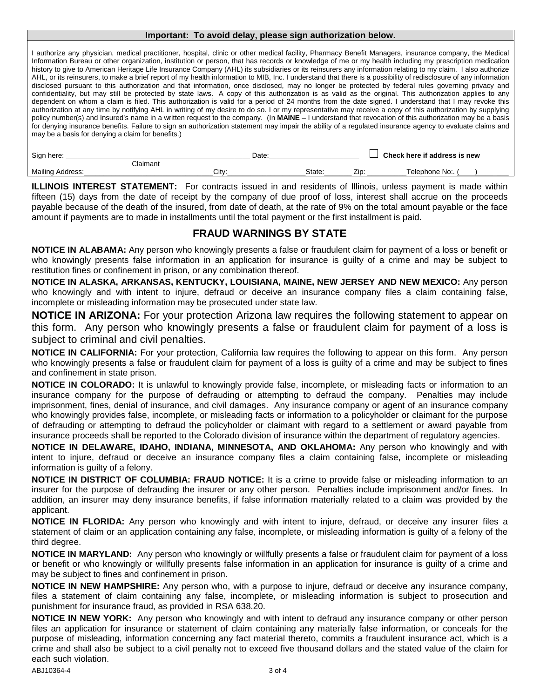#### **Important: To avoid delay, please sign authorization below.**

I authorize any physician, medical practitioner, hospital, clinic or other medical facility, Pharmacy Benefit Managers, insurance company, the Medical Information Bureau or other organization, institution or person, that has records or knowledge of me or my health including my prescription medication history to give to American Heritage Life Insurance Company (AHL) its subsidiaries or its reinsurers any information relating to my claim. I also authorize AHL, or its reinsurers, to make a brief report of my health information to MIB, Inc. I understand that there is a possibility of redisclosure of any information disclosed pursuant to this authorization and that information, once disclosed, may no longer be protected by federal rules governing privacy and confidentiality, but may still be protected by state laws. A copy of this authorization is as valid as the original. This authorization applies to any dependent on whom a claim is filed. This authorization is valid for a period of 24 months from the date signed. I understand that I may revoke this authorization at any time by notifying AHL in writing of my desire to do so. I or my representative may receive a copy of this authorization by supplying policy number(s) and Insured's name in a written request to the company. (In **MAINE** – I understand that revocation of this authorization may be a basis for denying insurance benefits. Failure to sign an authorization statement may impair the ability of a regulated insurance agency to evaluate claims and may be a basis for denying a claim for benefits.)

| Sign here:<br>Date:  |                | Check here if address is new |        |                       |                |  |
|----------------------|----------------|------------------------------|--------|-----------------------|----------------|--|
|                      | $\cap$ laimant |                              |        |                       |                |  |
| Mailing A<br>:ddress |                | Citv:                        | State: | 7 <sub>in</sub><br>–י | Γelephone Νo:. |  |

**ILLINOIS INTEREST STATEMENT:** For contracts issued in and residents of Illinois, unless payment is made within fifteen (15) days from the date of receipt by the company of due proof of loss, interest shall accrue on the proceeds payable because of the death of the insured, from date of death, at the rate of 9% on the total amount payable or the face amount if payments are to made in installments until the total payment or the first installment is paid.

# **FRAUD WARNINGS BY STATE**

**NOTICE IN ALABAMA:** Any person who knowingly presents a false or fraudulent claim for payment of a loss or benefit or who knowingly presents false information in an application for insurance is guilty of a crime and may be subject to restitution fines or confinement in prison, or any combination thereof.

**NOTICE IN ALASKA, ARKANSAS, KENTUCKY, LOUISIANA, MAINE, NEW JERSEY AND NEW MEXICO:** Any person who knowingly and with intent to injure, defraud or deceive an insurance company files a claim containing false, incomplete or misleading information may be prosecuted under state law.

**NOTICE IN ARIZONA:** For your protection Arizona law requires the following statement to appear on this form. Any person who knowingly presents a false or fraudulent claim for payment of a loss is subject to criminal and civil penalties.

**NOTICE IN CALIFORNIA:** For your protection, California law requires the following to appear on this form. Any person who knowingly presents a false or fraudulent claim for payment of a loss is quilty of a crime and may be subject to fines and confinement in state prison.

**NOTICE IN COLORADO:** It is unlawful to knowingly provide false, incomplete, or misleading facts or information to an insurance company for the purpose of defrauding or attempting to defraud the company. Penalties may include imprisonment, fines, denial of insurance, and civil damages. Any insurance company or agent of an insurance company who knowingly provides false, incomplete, or misleading facts or information to a policyholder or claimant for the purpose of defrauding or attempting to defraud the policyholder or claimant with regard to a settlement or award payable from insurance proceeds shall be reported to the Colorado division of insurance within the department of regulatory agencies.

**NOTICE IN DELAWARE, IDAHO, INDIANA, MINNESOTA, AND OKLAHOMA:** Any person who knowingly and with intent to injure, defraud or deceive an insurance company files a claim containing false, incomplete or misleading information is guilty of a felony.

**NOTICE IN DISTRICT OF COLUMBIA: FRAUD NOTICE:** It is a crime to provide false or misleading information to an insurer for the purpose of defrauding the insurer or any other person. Penalties include imprisonment and/or fines. In addition, an insurer may deny insurance benefits, if false information materially related to a claim was provided by the applicant.

**NOTICE IN FLORIDA:** Any person who knowingly and with intent to injure, defraud, or deceive any insurer files a statement of claim or an application containing any false, incomplete, or misleading information is guilty of a felony of the third degree.

**NOTICE IN MARYLAND:** Any person who knowingly or willfully presents a false or fraudulent claim for payment of a loss or benefit or who knowingly or willfully presents false information in an application for insurance is guilty of a crime and may be subject to fines and confinement in prison.

**NOTICE IN NEW HAMPSHIRE:** Any person who, with a purpose to injure, defraud or deceive any insurance company, files a statement of claim containing any false, incomplete, or misleading information is subject to prosecution and punishment for insurance fraud, as provided in RSA 638.20.

**NOTICE IN NEW YORK:** Any person who knowingly and with intent to defraud any insurance company or other person files an application for insurance or statement of claim containing any materially false information, or conceals for the purpose of misleading, information concerning any fact material thereto, commits a fraudulent insurance act, which is a crime and shall also be subject to a civil penalty not to exceed five thousand dollars and the stated value of the claim for each such violation.